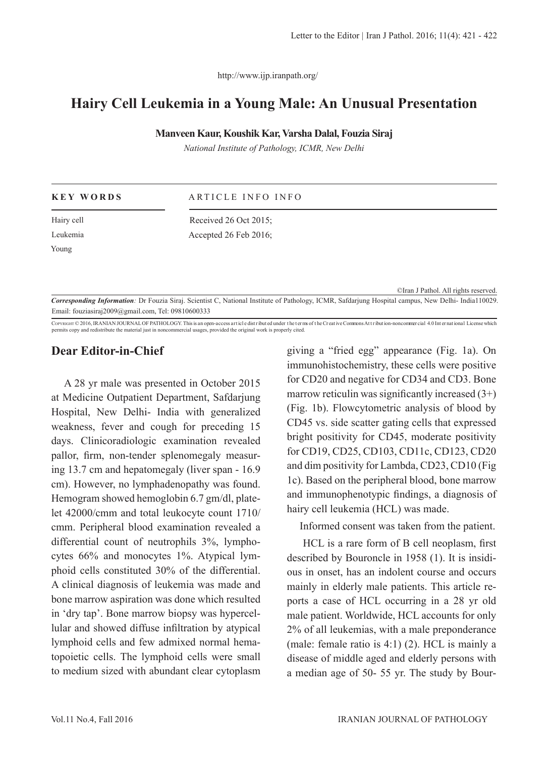http://www.ijp.iranpath.org/

# **Hairy Cell Leukemia in a Young Male: An Unusual Presentation**

### **Manveen Kaur, Koushik Kar, Varsha Dalal, Fouzia Siraj**

*National Institute of Pathology, ICMR, New Delhi*

| <b>KEY WORDS</b> | ARTICLE INFO INFO     |
|------------------|-----------------------|
| Hairy cell       | Received 26 Oct 2015; |
| Leukemia         | Accepted 26 Feb 2016; |
| Young            |                       |

©Iran J Pathol. All rights reserved.

*Corresponding Information:* Dr Fouzia Siraj. Scientist C, National Institute of Pathology, ICMR, Safdarjung Hospital campus, New Delhi- India110029. Email: fouziasiraj2009@gmail.com, Tel: 09810600333

COPYRIGHT © 2016, IRANIAN JOURNAL OF PATHOLOGY. This is an open-access art icle dist ribut ed under the terms of the Creat ive Commons At tribut ion-noncommer cial 4.0 Int er nat ional License which permits copy and redistribute the material just in noncommercial usages, provided the original work is properly cited.

## **Dear Editor-in-Chief**

A 28 yr male was presented in October 2015 at Medicine Outpatient Department, Safdarjung Hospital, New Delhi- India with generalized weakness, fever and cough for preceding 15 days. Clinicoradiologic examination revealed pallor, firm, non-tender splenomegaly measuring 13.7 cm and hepatomegaly (liver span - 16.9 cm). However, no lymphadenopathy was found. Hemogram showed hemoglobin 6.7 gm/dl, platelet 42000/cmm and total leukocyte count 1710/ cmm. Peripheral blood examination revealed a differential count of neutrophils 3%, lymphocytes 66% and monocytes 1%. Atypical lymphoid cells constituted 30% of the differential. A clinical diagnosis of leukemia was made and bone marrow aspiration was done which resulted in 'dry tap'. Bone marrow biopsy was hypercellular and showed diffuse infiltration by atypical lymphoid cells and few admixed normal hematopoietic cells. The lymphoid cells were small to medium sized with abundant clear cytoplasm giving a "fried egg" appearance (Fig. 1a). On immunohistochemistry, these cells were positive for CD20 and negative for CD34 and CD3. Bone marrow reticulin was significantly increased  $(3+)$ (Fig. 1b). Flowcytometric analysis of blood by CD45 vs. side scatter gating cells that expressed bright positivity for CD45, moderate positivity for CD19, CD25, CD103, CD11c, CD123, CD20 and dim positivity for Lambda, CD23, CD10 (Fig 1c). Based on the peripheral blood, bone marrow and immunophenotypic findings, a diagnosis of hairy cell leukemia (HCL) was made.

Informed consent was taken from the patient.

 HCL is a rare form of B cell neoplasm, first described by Bouroncle in 1958 (1). It is insidious in onset, has an indolent course and occurs mainly in elderly male patients. This article reports a case of HCL occurring in a 28 yr old male patient. Worldwide, HCL accounts for only 2% of all leukemias, with a male preponderance (male: female ratio is 4:1) (2). HCL is mainly a disease of middle aged and elderly persons with a median age of 50- 55 yr. The study by Bour-